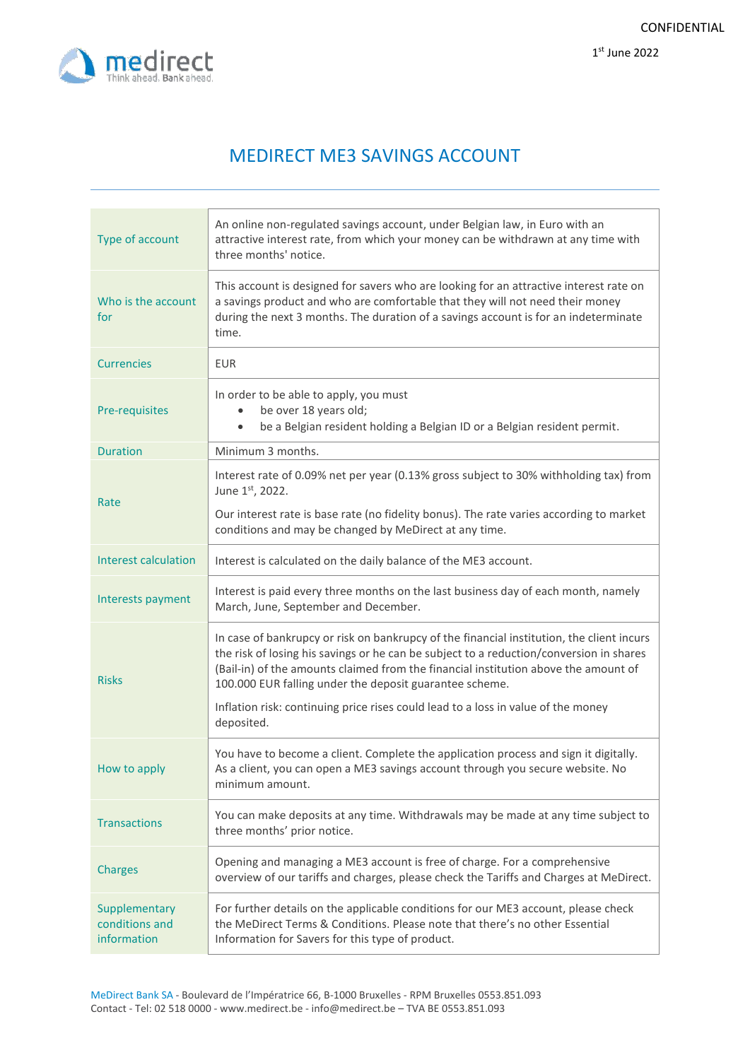

# MEDIRECT ME3 SAVINGS ACCOUNT

| Type of account                                | An online non-regulated savings account, under Belgian law, in Euro with an<br>attractive interest rate, from which your money can be withdrawn at any time with<br>three months' notice.                                                                                                                                              |
|------------------------------------------------|----------------------------------------------------------------------------------------------------------------------------------------------------------------------------------------------------------------------------------------------------------------------------------------------------------------------------------------|
| Who is the account<br>for                      | This account is designed for savers who are looking for an attractive interest rate on<br>a savings product and who are comfortable that they will not need their money<br>during the next 3 months. The duration of a savings account is for an indeterminate<br>time.                                                                |
| <b>Currencies</b>                              | <b>EUR</b>                                                                                                                                                                                                                                                                                                                             |
| Pre-requisites                                 | In order to be able to apply, you must<br>be over 18 years old;<br>be a Belgian resident holding a Belgian ID or a Belgian resident permit.                                                                                                                                                                                            |
| <b>Duration</b>                                | Minimum 3 months.                                                                                                                                                                                                                                                                                                                      |
| Rate                                           | Interest rate of 0.09% net per year (0.13% gross subject to 30% withholding tax) from<br>June 1st, 2022.                                                                                                                                                                                                                               |
|                                                | Our interest rate is base rate (no fidelity bonus). The rate varies according to market<br>conditions and may be changed by MeDirect at any time.                                                                                                                                                                                      |
| <b>Interest calculation</b>                    | Interest is calculated on the daily balance of the ME3 account.                                                                                                                                                                                                                                                                        |
| Interests payment                              | Interest is paid every three months on the last business day of each month, namely<br>March, June, September and December.                                                                                                                                                                                                             |
| <b>Risks</b>                                   | In case of bankrupcy or risk on bankrupcy of the financial institution, the client incurs<br>the risk of losing his savings or he can be subject to a reduction/conversion in shares<br>(Bail-in) of the amounts claimed from the financial institution above the amount of<br>100.000 EUR falling under the deposit guarantee scheme. |
|                                                | Inflation risk: continuing price rises could lead to a loss in value of the money<br>deposited.                                                                                                                                                                                                                                        |
| How to apply                                   | You have to become a client. Complete the application process and sign it digitally.<br>As a client, you can open a ME3 savings account through you secure website. No<br>minimum amount.                                                                                                                                              |
| <b>Transactions</b>                            | You can make deposits at any time. Withdrawals may be made at any time subject to<br>three months' prior notice.                                                                                                                                                                                                                       |
| <b>Charges</b>                                 | Opening and managing a ME3 account is free of charge. For a comprehensive<br>overview of our tariffs and charges, please check the Tariffs and Charges at MeDirect.                                                                                                                                                                    |
| Supplementary<br>conditions and<br>information | For further details on the applicable conditions for our ME3 account, please check<br>the MeDirect Terms & Conditions. Please note that there's no other Essential<br>Information for Savers for this type of product.                                                                                                                 |